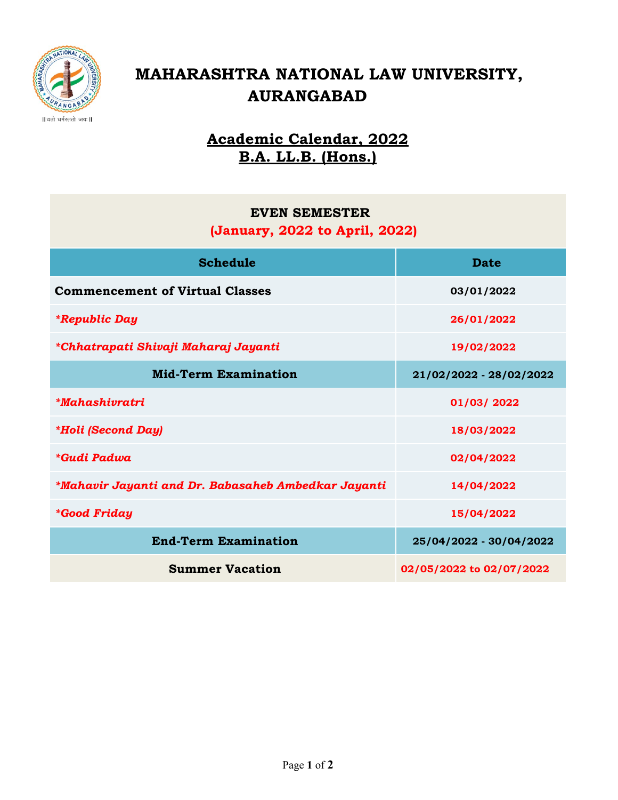

# MAHARASHTRA NATIONAL LAW UNIVERSITY, AURANGABAD

## Academic Calendar, 2022 B.A. LL.B. (Hons.)

### EVEN SEMESTER

### (January, 2022 to April, 2022)

| <b>Schedule</b>                                     | <b>Date</b>              |
|-----------------------------------------------------|--------------------------|
| <b>Commencement of Virtual Classes</b>              | 03/01/2022               |
| <i><b>*Republic Day</b></i>                         | 26/01/2022               |
| *Chhatrapati Shivaji Maharaj Jayanti                | 19/02/2022               |
| <b>Mid-Term Examination</b>                         | 21/02/2022 - 28/02/2022  |
| <i>*Mahashivratri</i>                               | 01/03/2022               |
| <i><b>*Holi (Second Day)</b></i>                    | 18/03/2022               |
| *Gudi Padwa                                         | 02/04/2022               |
| *Mahavir Jayanti and Dr. Babasaheb Ambedkar Jayanti | 14/04/2022               |
| <i><b>*Good Friday</b></i>                          | 15/04/2022               |
| <b>End-Term Examination</b>                         | 25/04/2022 - 30/04/2022  |
| <b>Summer Vacation</b>                              | 02/05/2022 to 02/07/2022 |